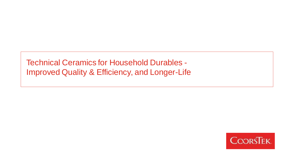Technical Ceramics for Household Durables - Improved Quality & Efficiency, and Longer-Life

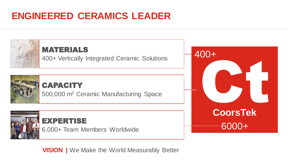## **ENGINEERED CERAMICS LEADER**



**VISION |** We Make the World Measurably Better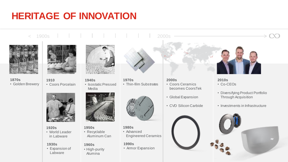## **HERITAGE OF INNOVATION**



**1870s** • Golden Brewery



**1910** • Coors Porcelain



< 1900s 2000s

**1940s** • Isostatic Pressed Media



**1920s** • World Leader in Labware

#### **1930s**

• Expansion of Labware



**1950s** • Recyclable Aluminum Can

#### **1960s**

• High-purity Alumina



**1970s** • Thin-film Substrates



**1980s** • Advanced Engineered Ceramics

#### **1990s**

• Armor Expansion



**2000s** • Coors Ceramics becomes CoorsTek

- Global Expansion
- CVD Silicon Carbide



- **2010s** • Co-CEOs
- Diversifying Product Portfolio Through Acquisition
- Investments in Infrastructure

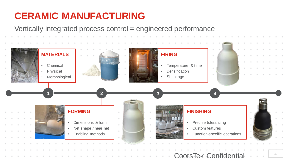## **CERAMIC MANUFACTURING**

Vertically integrated process control = engineered performance

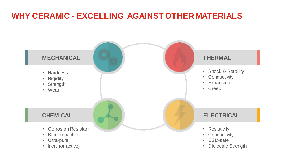## **WHY CERAMIC - EXCELLING AGAINST OTHER MATERIALS**

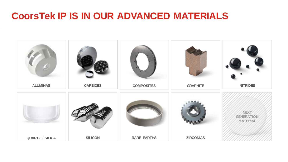## **CoorsTek IP IS IN OUR ADVANCED MATERIALS**

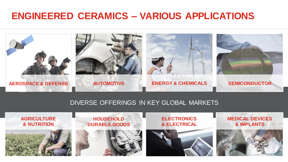## **ENGINEERED CERAMICS – VARIOUS APPLICATIONS**



### DIVERSE OFFERINGS IN KEY GLOBAL MARKETS

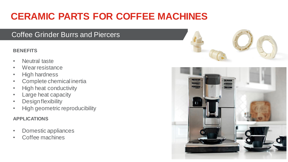# **CERAMIC PARTS FOR COFFEE MACHINES**

### Coffee Grinder Burrs and Piercers

### **BENEFITS**

- Neutral taste
- Wear resistance
- High hardness
- Complete chemical inertia
- High heat conductivity
- Large heat capacity
- Design flexibility
- High geometric reproducibility

- Domestic appliances
- <span id="page-7-0"></span>• Coffee machines



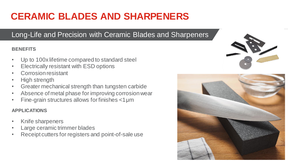# **CERAMIC BLADES AND SHARPENERS**

## Long-Life and Precision with Ceramic Blades and Sharpeners

### **BENEFITS**

- Up to 100x lifetime compared to standard steel
- Electrically resistant with ESD options
- Corrosion resistant
- High strength
- Greater mechanical strength than tungsten carbide
- Absence of metal phase for improving corrosion wear
- Fine-grain structures allows for finishes <1μm

- Knife sharpeners
- Large ceramic trimmer blades
- Receipt cutters for registers and point-of-sale use



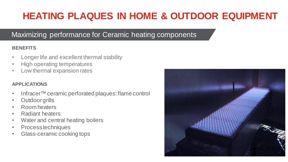## **HEATING PLAQUES IN HOME & OUTDOOR EQUIPMENT**

## Maximizing performance for Ceramic heating components

### **BENEFITS**

- Longer life and excellent thermal stability
- High operating temperatures
- Low thermal expansion rates

- Infracer™ceramic perforated plaques: flame control
- Outdoor grills
- Room heaters
- Radiant heaters
- Water and central heating boilers
- Process techniques
- Glass-ceramic cooking tops

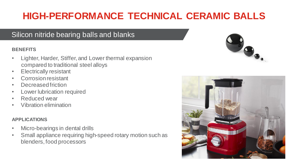# **HIGH-PERFORMANCE TECHNICAL CERAMIC BALLS**

### Silicon nitride bearing balls and blanks

### **BENEFITS**

- Lighter, Harder, Stiffer, and Lower thermal expansion compared to traditional steel alloys
- **Electrically resistant**
- Corrosion resistant
- Decreased friction
- Lower lubrication required
- Reduced wear
- Vibration elimination

- Micro-bearings in dental drills
- <span id="page-10-0"></span>• Small appliance requiring high-speed rotary motion such as blenders, food processors